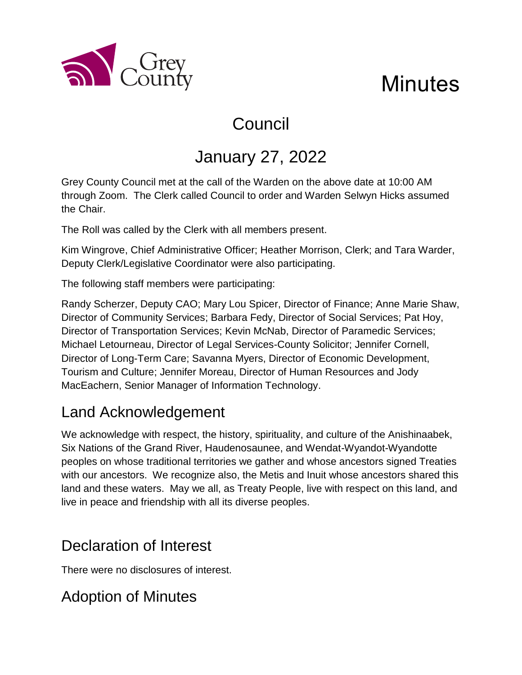

# Council

## January 27, 2022

Grey County Council met at the call of the Warden on the above date at 10:00 AM through Zoom. The Clerk called Council to order and Warden Selwyn Hicks assumed the Chair.

The Roll was called by the Clerk with all members present.

Kim Wingrove, Chief Administrative Officer; Heather Morrison, Clerk; and Tara Warder, Deputy Clerk/Legislative Coordinator were also participating.

The following staff members were participating:

a County

Randy Scherzer, Deputy CAO; Mary Lou Spicer, Director of Finance; Anne Marie Shaw, Director of Community Services; Barbara Fedy, Director of Social Services; Pat Hoy, Director of Transportation Services; Kevin McNab, Director of Paramedic Services; Michael Letourneau, Director of Legal Services-County Solicitor; Jennifer Cornell, Director of Long-Term Care; Savanna Myers, Director of Economic Development, Tourism and Culture; Jennifer Moreau, Director of Human Resources and Jody MacEachern, Senior Manager of Information Technology.

### Land Acknowledgement

We acknowledge with respect, the history, spirituality, and culture of the Anishinaabek, Six Nations of the Grand River, Haudenosaunee, and Wendat-Wyandot-Wyandotte peoples on whose traditional territories we gather and whose ancestors signed Treaties with our ancestors. We recognize also, the Metis and Inuit whose ancestors shared this land and these waters. May we all, as Treaty People, live with respect on this land, and live in peace and friendship with all its diverse peoples.

## Declaration of Interest

There were no disclosures of interest.

## Adoption of Minutes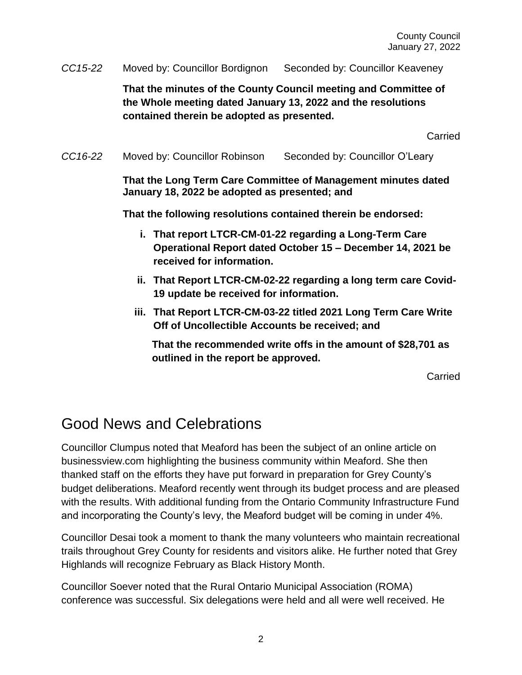*CC15-22* Moved by: Councillor Bordignon Seconded by: Councillor Keaveney

**That the minutes of the County Council meeting and Committee of the Whole meeting dated January 13, 2022 and the resolutions contained therein be adopted as presented.**

Carried

*CC16-22* Moved by: Councillor Robinson Seconded by: Councillor O'Leary

**That the Long Term Care Committee of Management minutes dated January 18, 2022 be adopted as presented; and**

**That the following resolutions contained therein be endorsed:**

- **i. That report LTCR-CM-01-22 regarding a Long-Term Care Operational Report dated October 15 – December 14, 2021 be received for information.**
- **ii. That Report LTCR-CM-02-22 regarding a long term care Covid-19 update be received for information.**
- **iii. That Report LTCR-CM-03-22 titled 2021 Long Term Care Write Off of Uncollectible Accounts be received; and**

**That the recommended write offs in the amount of \$28,701 as outlined in the report be approved.**

Carried

### Good News and Celebrations

Councillor Clumpus noted that Meaford has been the subject of an online article on businessview.com highlighting the business community within Meaford. She then thanked staff on the efforts they have put forward in preparation for Grey County's budget deliberations. Meaford recently went through its budget process and are pleased with the results. With additional funding from the Ontario Community Infrastructure Fund and incorporating the County's levy, the Meaford budget will be coming in under 4%.

Councillor Desai took a moment to thank the many volunteers who maintain recreational trails throughout Grey County for residents and visitors alike. He further noted that Grey Highlands will recognize February as Black History Month.

Councillor Soever noted that the Rural Ontario Municipal Association (ROMA) conference was successful. Six delegations were held and all were well received. He